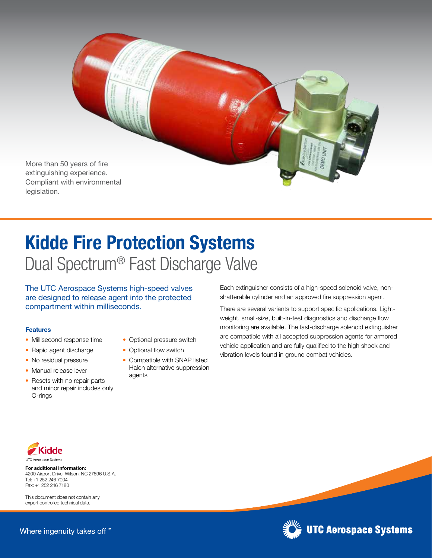

## Kidde Fire Protection Systems Dual Spectrum® Fast Discharge Valve

The UTC Aerospace Systems high-speed valves are designed to release agent into the protected compartment within milliseconds.

## Features

- Millisecond response time
- Rapid agent discharge
- No residual pressure
- Manual release lever
- Resets with no repair parts and minor repair includes only O-rings
- Optional pressure switch
- Optional flow switch
- Compatible with SNAP listed Halon alternative suppression agents

Each extinguisher consists of a high-speed solenoid valve, nonshatterable cylinder and an approved fire suppression agent.

There are several variants to support specific applications. Lightweight, small-size, built-in-test diagnostics and discharge flow monitoring are available. The fast-discharge solenoid extinguisher are compatible with all accepted suppression agents for armored vehicle application and are fully qualified to the high shock and vibration levels found in ground combat vehicles.



For additional information: 4200 Airport Drive, Wilson, NC 27896 U.S.A. Tel: +1 252 246 7004 Fax: +1 252 246 7180

This document does not contain any export controlled technical data



**UTC Aerospace Systems**